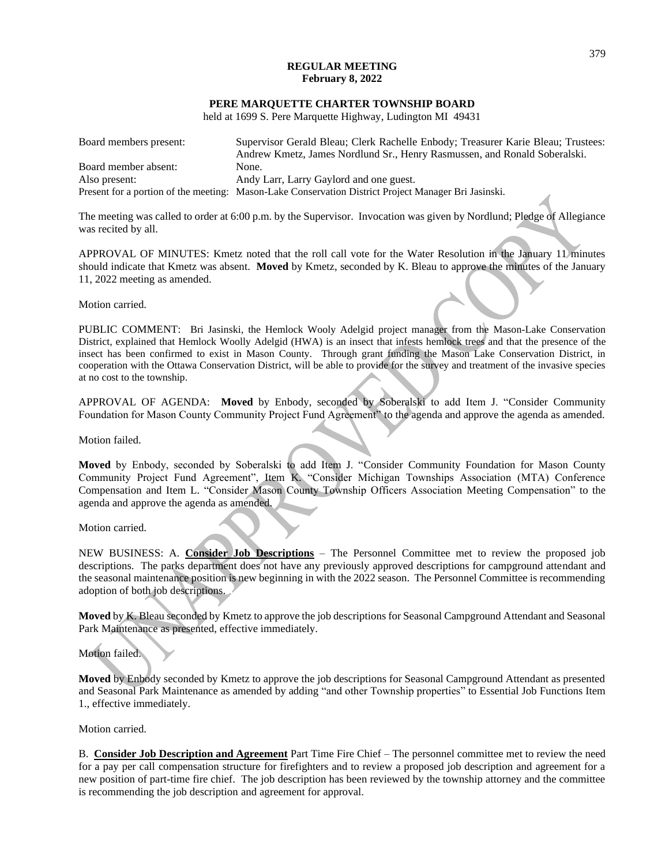#### **REGULAR MEETING February 8, 2022**

#### **PERE MARQUETTE CHARTER TOWNSHIP BOARD**

held at 1699 S. Pere Marquette Highway, Ludington MI 49431

| Board members present: | Supervisor Gerald Bleau; Clerk Rachelle Enbody; Treasurer Karie Bleau; Trustees:<br>Andrew Kmetz, James Nordlund Sr., Henry Rasmussen, and Ronald Soberalski. |
|------------------------|---------------------------------------------------------------------------------------------------------------------------------------------------------------|
| Board member absent:   | None.                                                                                                                                                         |
| Also present:          | Andy Larr, Larry Gaylord and one guest.                                                                                                                       |
|                        | Present for a portion of the meeting: Mason-Lake Conservation District Project Manager Bri Jasinski.                                                          |

The meeting was called to order at 6:00 p.m. by the Supervisor. Invocation was given by Nordlund; Pledge of Allegiance was recited by all.

APPROVAL OF MINUTES: Kmetz noted that the roll call vote for the Water Resolution in the January 11 minutes should indicate that Kmetz was absent. **Moved** by Kmetz, seconded by K. Bleau to approve the minutes of the January 11, 2022 meeting as amended.

Motion carried.

PUBLIC COMMENT: Bri Jasinski, the Hemlock Wooly Adelgid project manager from the Mason-Lake Conservation District, explained that Hemlock Woolly Adelgid (HWA) is an insect that infests hemlock trees and that the presence of the insect has been confirmed to exist in Mason County. Through grant funding the Mason Lake Conservation District, in cooperation with the Ottawa Conservation District, will be able to provide for the survey and treatment of the invasive species at no cost to the township.

APPROVAL OF AGENDA: **Moved** by Enbody, seconded by Soberalski to add Item J. "Consider Community Foundation for Mason County Community Project Fund Agreement" to the agenda and approve the agenda as amended.

Motion failed.

**Moved** by Enbody, seconded by Soberalski to add Item J. "Consider Community Foundation for Mason County Community Project Fund Agreement", Item K. "Consider Michigan Townships Association (MTA) Conference Compensation and Item L. "Consider Mason County Township Officers Association Meeting Compensation" to the agenda and approve the agenda as amended.

Motion carried.

NEW BUSINESS: A. **Consider Job Descriptions** – The Personnel Committee met to review the proposed job descriptions. The parks department does not have any previously approved descriptions for campground attendant and the seasonal maintenance position is new beginning in with the 2022 season. The Personnel Committee is recommending adoption of both job descriptions.

**Moved** by K. Bleau seconded by Kmetz to approve the job descriptions for Seasonal Campground Attendant and Seasonal Park Maintenance as presented, effective immediately.

Motion failed.

**Moved** by Enbody seconded by Kmetz to approve the job descriptions for Seasonal Campground Attendant as presented and Seasonal Park Maintenance as amended by adding "and other Township properties" to Essential Job Functions Item 1., effective immediately.

Motion carried.

B. **Consider Job Description and Agreement** Part Time Fire Chief – The personnel committee met to review the need for a pay per call compensation structure for firefighters and to review a proposed job description and agreement for a new position of part-time fire chief. The job description has been reviewed by the township attorney and the committee is recommending the job description and agreement for approval.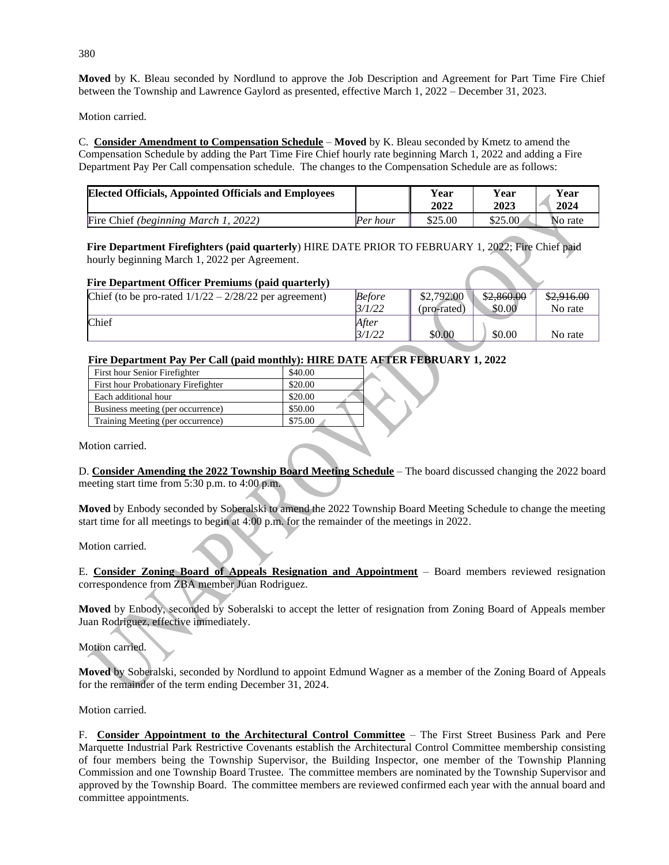**Moved** by K. Bleau seconded by Nordlund to approve the Job Description and Agreement for Part Time Fire Chief between the Township and Lawrence Gaylord as presented, effective March 1, 2022 – December 31, 2023.

Motion carried.

C. **Consider Amendment to Compensation Schedule** – **Moved** by K. Bleau seconded by Kmetz to amend the Compensation Schedule by adding the Part Time Fire Chief hourly rate beginning March 1, 2022 and adding a Fire Department Pay Per Call compensation schedule. The changes to the Compensation Schedule are as follows:

| <b>Elected Officials, Appointed Officials and Employees</b> |          | Year    | Year    | Year    |
|-------------------------------------------------------------|----------|---------|---------|---------|
|                                                             |          | 2022    | 2023    | 2024    |
| Fire Chief (beginning March 1, 2022)                        | Per hour | \$25.00 | \$25.00 | No rate |

 **Fire Department Firefighters (paid quarterly**) HIRE DATE PRIOR TO FEBRUARY 1, 2022; Fire Chief paid hourly beginning March 1, 2022 per Agreement.

## **Fire Department Officer Premiums (paid quarterly)**

| Chief (to be pro-rated $1/1/22 - 2/28/22$ per agreement) | <b>Before</b> | \$2,792.00  | \$2,860.00 | \$2,916.00 |
|----------------------------------------------------------|---------------|-------------|------------|------------|
|                                                          | <i>3/1/22</i> | (pro-rated) | \$0.00     | No rate    |
| Chief                                                    | After         |             |            |            |
|                                                          | <i>3/1/22</i> | \$0.00      | \$0.00     | No rate    |

# **Fire Department Pay Per Call (paid monthly): HIRE DATE AFTER FEBRUARY 1, 2022**

| First hour Senior Firefighter       | \$40.00 |  |
|-------------------------------------|---------|--|
| First hour Probationary Firefighter | \$20.00 |  |
| Each additional hour                | \$20.00 |  |
| Business meeting (per occurrence)   | \$50.00 |  |
| Training Meeting (per occurrence)   | \$75.00 |  |

Motion carried.

D. **Consider Amending the 2022 Township Board Meeting Schedule** – The board discussed changing the 2022 board meeting start time from 5:30 p.m. to 4:00 p.m.

**Moved** by Enbody seconded by Soberalski to amend the 2022 Township Board Meeting Schedule to change the meeting start time for all meetings to begin at 4:00 p.m. for the remainder of the meetings in 2022.

Motion carried.

E. **Consider Zoning Board of Appeals Resignation and Appointment** – Board members reviewed resignation correspondence from ZBA member Juan Rodriguez.

**Moved** by Enbody, seconded by Soberalski to accept the letter of resignation from Zoning Board of Appeals member Juan Rodriguez, effective immediately.

Motion carried.

**Moved** by Soberalski, seconded by Nordlund to appoint Edmund Wagner as a member of the Zoning Board of Appeals for the remainder of the term ending December 31, 2024.

Motion carried.

F. **Consider Appointment to the Architectural Control Committee** – The First Street Business Park and Pere Marquette Industrial Park Restrictive Covenants establish the Architectural Control Committee membership consisting of four members being the Township Supervisor, the Building Inspector, one member of the Township Planning Commission and one Township Board Trustee. The committee members are nominated by the Township Supervisor and approved by the Township Board. The committee members are reviewed confirmed each year with the annual board and committee appointments.

380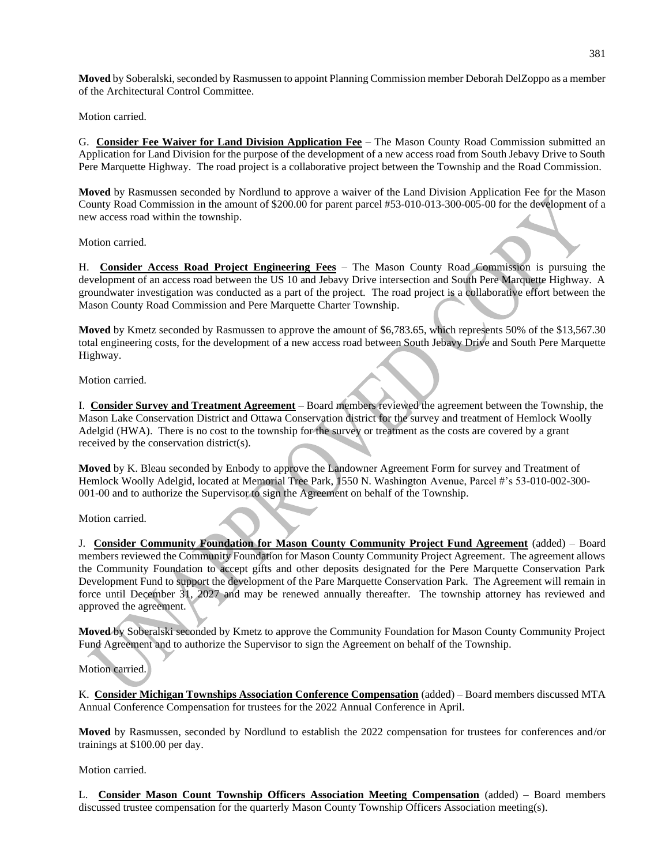**Moved** by Soberalski, seconded by Rasmussen to appoint Planning Commission member Deborah DelZoppo as a member of the Architectural Control Committee.

Motion carried.

G. **Consider Fee Waiver for Land Division Application Fee** – The Mason County Road Commission submitted an Application for Land Division for the purpose of the development of a new access road from South Jebavy Drive to South Pere Marquette Highway. The road project is a collaborative project between the Township and the Road Commission.

**Moved** by Rasmussen seconded by Nordlund to approve a waiver of the Land Division Application Fee for the Mason County Road Commission in the amount of \$200.00 for parent parcel #53-010-013-300-005-00 for the development of a new access road within the township.

Motion carried.

H. **Consider Access Road Project Engineering Fees** – The Mason County Road Commission is pursuing the development of an access road between the US 10 and Jebavy Drive intersection and South Pere Marquette Highway. A groundwater investigation was conducted as a part of the project. The road project is a collaborative effort between the Mason County Road Commission and Pere Marquette Charter Township.

**Moved** by Kmetz seconded by Rasmussen to approve the amount of \$6,783.65, which represents 50% of the \$13,567.30 total engineering costs, for the development of a new access road between South Jebavy Drive and South Pere Marquette Highway.

Motion carried.

I. **Consider Survey and Treatment Agreement** – Board members reviewed the agreement between the Township, the Mason Lake Conservation District and Ottawa Conservation district for the survey and treatment of Hemlock Woolly Adelgid (HWA). There is no cost to the township for the survey or treatment as the costs are covered by a grant received by the conservation district(s).

**Moved** by K. Bleau seconded by Enbody to approve the Landowner Agreement Form for survey and Treatment of Hemlock Woolly Adelgid, located at Memorial Tree Park, 1550 N. Washington Avenue, Parcel #'s 53-010-002-300- 001-00 and to authorize the Supervisor to sign the Agreement on behalf of the Township.

Motion carried.

J. **Consider Community Foundation for Mason County Community Project Fund Agreement** (added) – Board members reviewed the Community Foundation for Mason County Community Project Agreement. The agreement allows the Community Foundation to accept gifts and other deposits designated for the Pere Marquette Conservation Park Development Fund to support the development of the Pare Marquette Conservation Park. The Agreement will remain in force until December 31, 2027 and may be renewed annually thereafter. The township attorney has reviewed and approved the agreement.

**Moved** by Soberalski seconded by Kmetz to approve the Community Foundation for Mason County Community Project Fund Agreement and to authorize the Supervisor to sign the Agreement on behalf of the Township.

## Motion carried.

K. **Consider Michigan Townships Association Conference Compensation** (added) – Board members discussed MTA Annual Conference Compensation for trustees for the 2022 Annual Conference in April.

**Moved** by Rasmussen, seconded by Nordlund to establish the 2022 compensation for trustees for conferences and/or trainings at \$100.00 per day.

Motion carried.

L. **Consider Mason Count Township Officers Association Meeting Compensation** (added) – Board members discussed trustee compensation for the quarterly Mason County Township Officers Association meeting(s).